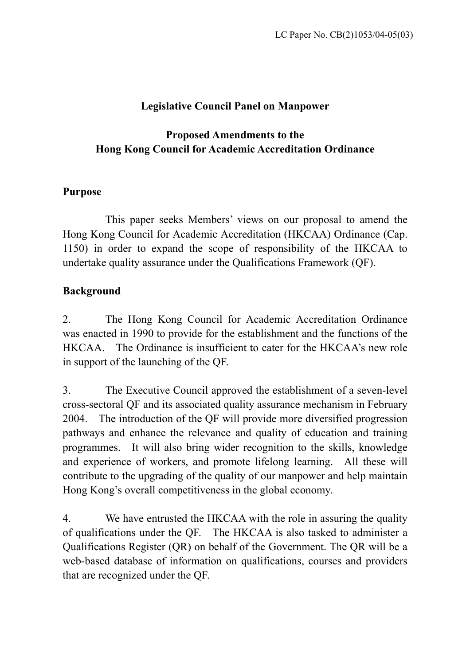# **Legislative Council Panel on Manpower**

# **Proposed Amendments to the Hong Kong Council for Academic Accreditation Ordinance**

### **Purpose**

 This paper seeks Members' views on our proposal to amend the Hong Kong Council for Academic Accreditation (HKCAA) Ordinance (Cap. 1150) in order to expand the scope of responsibility of the HKCAA to undertake quality assurance under the Qualifications Framework (QF).

# **Background**

2. The Hong Kong Council for Academic Accreditation Ordinance was enacted in 1990 to provide for the establishment and the functions of the HKCAA. The Ordinance is insufficient to cater for the HKCAA's new role in support of the launching of the QF.

3. The Executive Council approved the establishment of a seven-level cross-sectoral QF and its associated quality assurance mechanism in February 2004. The introduction of the QF will provide more diversified progression pathways and enhance the relevance and quality of education and training programmes. It will also bring wider recognition to the skills, knowledge and experience of workers, and promote lifelong learning. All these will contribute to the upgrading of the quality of our manpower and help maintain Hong Kong's overall competitiveness in the global economy.

4. We have entrusted the HKCAA with the role in assuring the quality of qualifications under the QF. The HKCAA is also tasked to administer a Qualifications Register (QR) on behalf of the Government. The QR will be a web-based database of information on qualifications, courses and providers that are recognized under the QF.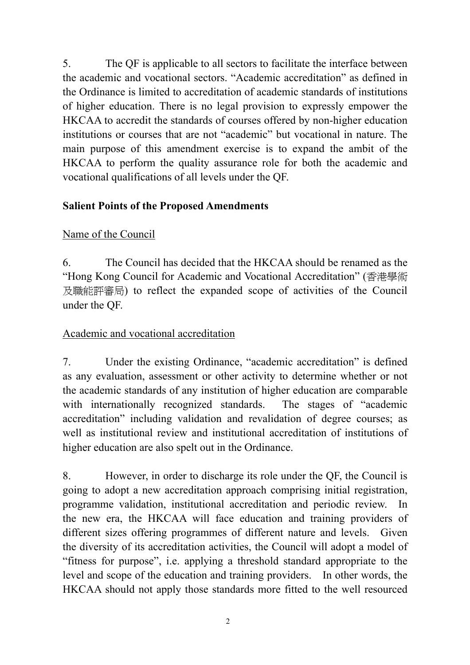5. The QF is applicable to all sectors to facilitate the interface between the academic and vocational sectors. "Academic accreditation" as defined in the Ordinance is limited to accreditation of academic standards of institutions of higher education. There is no legal provision to expressly empower the HKCAA to accredit the standards of courses offered by non-higher education institutions or courses that are not "academic" but vocational in nature. The main purpose of this amendment exercise is to expand the ambit of the HKCAA to perform the quality assurance role for both the academic and vocational qualifications of all levels under the QF.

### **Salient Points of the Proposed Amendments**

# Name of the Council

6. The Council has decided that the HKCAA should be renamed as the "Hong Kong Council for Academic and Vocational Accreditation" (香港學術 及職能評審局) to reflect the expanded scope of activities of the Council under the QF.

### Academic and vocational accreditation

7. Under the existing Ordinance, "academic accreditation" is defined as any evaluation, assessment or other activity to determine whether or not the academic standards of any institution of higher education are comparable with internationally recognized standards. The stages of "academic accreditation" including validation and revalidation of degree courses; as well as institutional review and institutional accreditation of institutions of higher education are also spelt out in the Ordinance.

8. However, in order to discharge its role under the QF, the Council is going to adopt a new accreditation approach comprising initial registration, programme validation, institutional accreditation and periodic review. In the new era, the HKCAA will face education and training providers of different sizes offering programmes of different nature and levels. Given the diversity of its accreditation activities, the Council will adopt a model of "fitness for purpose", i.e. applying a threshold standard appropriate to the level and scope of the education and training providers. In other words, the HKCAA should not apply those standards more fitted to the well resourced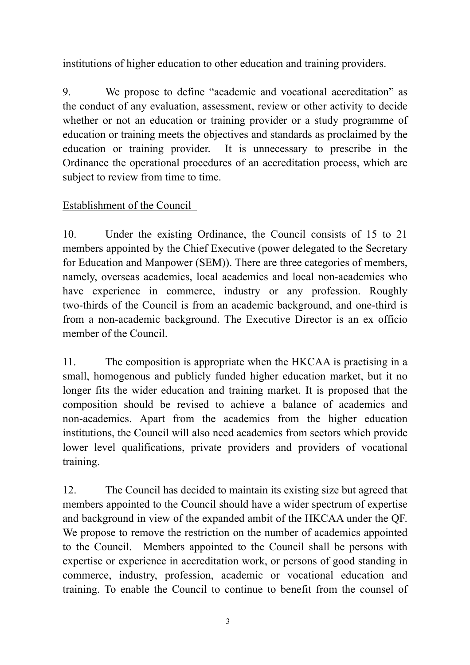institutions of higher education to other education and training providers.

9. We propose to define "academic and vocational accreditation" as the conduct of any evaluation, assessment, review or other activity to decide whether or not an education or training provider or a study programme of education or training meets the objectives and standards as proclaimed by the education or training provider. It is unnecessary to prescribe in the Ordinance the operational procedures of an accreditation process, which are subject to review from time to time.

# Establishment of the Council

10. Under the existing Ordinance, the Council consists of 15 to 21 members appointed by the Chief Executive (power delegated to the Secretary for Education and Manpower (SEM)). There are three categories of members, namely, overseas academics, local academics and local non-academics who have experience in commerce, industry or any profession. Roughly two-thirds of the Council is from an academic background, and one-third is from a non-academic background. The Executive Director is an ex officio member of the Council.

11. The composition is appropriate when the HKCAA is practising in a small, homogenous and publicly funded higher education market, but it no longer fits the wider education and training market. It is proposed that the composition should be revised to achieve a balance of academics and non-academics. Apart from the academics from the higher education institutions, the Council will also need academics from sectors which provide lower level qualifications, private providers and providers of vocational training.

12. The Council has decided to maintain its existing size but agreed that members appointed to the Council should have a wider spectrum of expertise and background in view of the expanded ambit of the HKCAA under the QF. We propose to remove the restriction on the number of academics appointed to the Council. Members appointed to the Council shall be persons with expertise or experience in accreditation work, or persons of good standing in commerce, industry, profession, academic or vocational education and training. To enable the Council to continue to benefit from the counsel of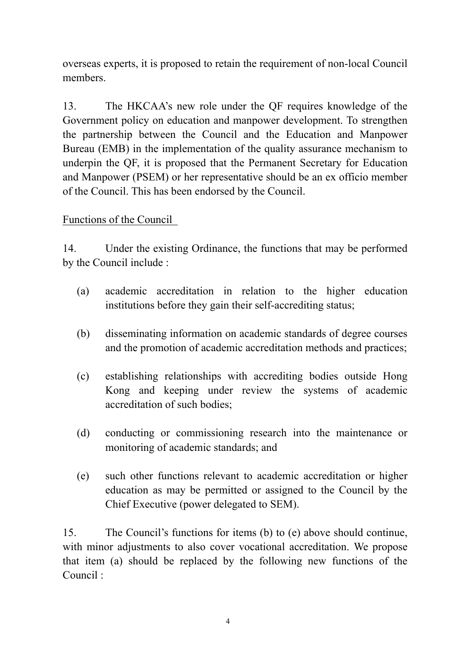overseas experts, it is proposed to retain the requirement of non-local Council members.

13. The HKCAA's new role under the QF requires knowledge of the Government policy on education and manpower development. To strengthen the partnership between the Council and the Education and Manpower Bureau (EMB) in the implementation of the quality assurance mechanism to underpin the QF, it is proposed that the Permanent Secretary for Education and Manpower (PSEM) or her representative should be an ex officio member of the Council. This has been endorsed by the Council.

### Functions of the Council

14. Under the existing Ordinance, the functions that may be performed by the Council include :

- (a) academic accreditation in relation to the higher education institutions before they gain their self-accrediting status;
- (b) disseminating information on academic standards of degree courses and the promotion of academic accreditation methods and practices;
- (c) establishing relationships with accrediting bodies outside Hong Kong and keeping under review the systems of academic accreditation of such bodies;
- (d) conducting or commissioning research into the maintenance or monitoring of academic standards; and
- (e) such other functions relevant to academic accreditation or higher education as may be permitted or assigned to the Council by the Chief Executive (power delegated to SEM).

15. The Council's functions for items (b) to (e) above should continue, with minor adjustments to also cover vocational accreditation. We propose that item (a) should be replaced by the following new functions of the Council :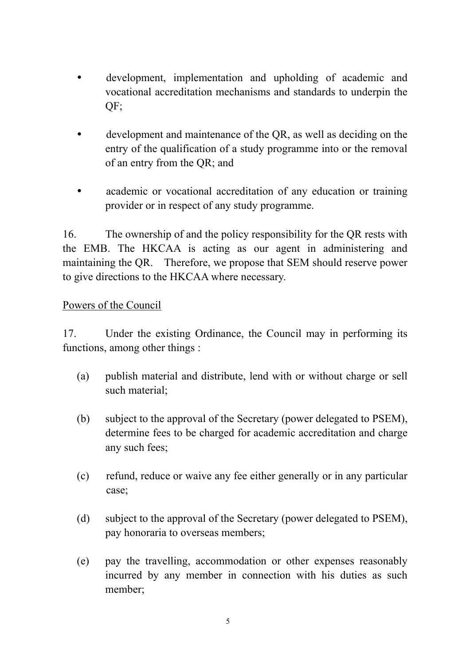- development, implementation and upholding of academic and vocational accreditation mechanisms and standards to underpin the QF;
- development and maintenance of the OR, as well as deciding on the entry of the qualification of a study programme into or the removal of an entry from the QR; and
- academic or vocational accreditation of any education or training provider or in respect of any study programme.

16. The ownership of and the policy responsibility for the QR rests with the EMB. The HKCAA is acting as our agent in administering and maintaining the QR. Therefore, we propose that SEM should reserve power to give directions to the HKCAA where necessary.

### Powers of the Council

17. Under the existing Ordinance, the Council may in performing its functions, among other things :

- (a) publish material and distribute, lend with or without charge or sell such material;
- (b) subject to the approval of the Secretary (power delegated to PSEM), determine fees to be charged for academic accreditation and charge any such fees;
- (c) refund, reduce or waive any fee either generally or in any particular case;
- (d) subject to the approval of the Secretary (power delegated to PSEM), pay honoraria to overseas members;
- (e) pay the travelling, accommodation or other expenses reasonably incurred by any member in connection with his duties as such member;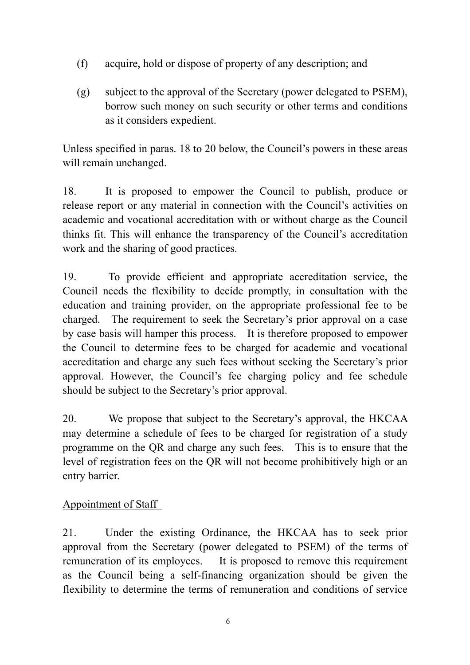- (f) acquire, hold or dispose of property of any description; and
- (g) subject to the approval of the Secretary (power delegated to PSEM), borrow such money on such security or other terms and conditions as it considers expedient.

Unless specified in paras. 18 to 20 below, the Council's powers in these areas will remain unchanged.

18. It is proposed to empower the Council to publish, produce or release report or any material in connection with the Council's activities on academic and vocational accreditation with or without charge as the Council thinks fit. This will enhance the transparency of the Council's accreditation work and the sharing of good practices.

19. To provide efficient and appropriate accreditation service, the Council needs the flexibility to decide promptly, in consultation with the education and training provider, on the appropriate professional fee to be charged. The requirement to seek the Secretary's prior approval on a case by case basis will hamper this process. It is therefore proposed to empower the Council to determine fees to be charged for academic and vocational accreditation and charge any such fees without seeking the Secretary's prior approval. However, the Council's fee charging policy and fee schedule should be subject to the Secretary's prior approval.

20. We propose that subject to the Secretary's approval, the HKCAA may determine a schedule of fees to be charged for registration of a study programme on the QR and charge any such fees. This is to ensure that the level of registration fees on the QR will not become prohibitively high or an entry barrier.

### Appointment of Staff

21. Under the existing Ordinance, the HKCAA has to seek prior approval from the Secretary (power delegated to PSEM) of the terms of remuneration of its employees. It is proposed to remove this requirement as the Council being a self-financing organization should be given the flexibility to determine the terms of remuneration and conditions of service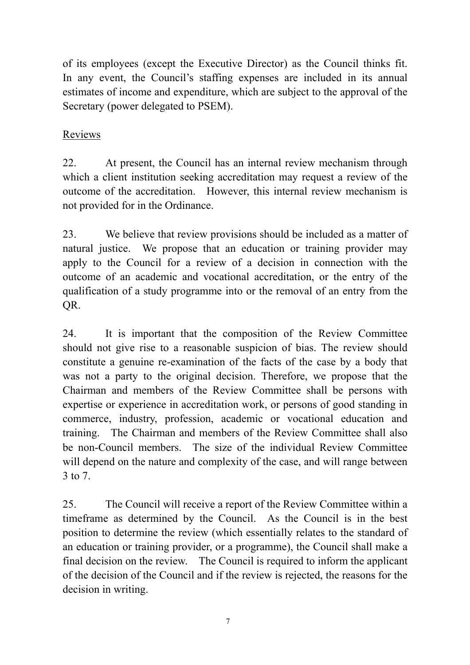of its employees (except the Executive Director) as the Council thinks fit. In any event, the Council's staffing expenses are included in its annual estimates of income and expenditure, which are subject to the approval of the Secretary (power delegated to PSEM).

## Reviews

22. At present, the Council has an internal review mechanism through which a client institution seeking accreditation may request a review of the outcome of the accreditation. However, this internal review mechanism is not provided for in the Ordinance.

23. We believe that review provisions should be included as a matter of natural justice. We propose that an education or training provider may apply to the Council for a review of a decision in connection with the outcome of an academic and vocational accreditation, or the entry of the qualification of a study programme into or the removal of an entry from the QR.

24. It is important that the composition of the Review Committee should not give rise to a reasonable suspicion of bias. The review should constitute a genuine re-examination of the facts of the case by a body that was not a party to the original decision. Therefore, we propose that the Chairman and members of the Review Committee shall be persons with expertise or experience in accreditation work, or persons of good standing in commerce, industry, profession, academic or vocational education and training. The Chairman and members of the Review Committee shall also be non-Council members. The size of the individual Review Committee will depend on the nature and complexity of the case, and will range between 3 to 7.

25. The Council will receive a report of the Review Committee within a timeframe as determined by the Council. As the Council is in the best position to determine the review (which essentially relates to the standard of an education or training provider, or a programme), the Council shall make a final decision on the review. The Council is required to inform the applicant of the decision of the Council and if the review is rejected, the reasons for the decision in writing.